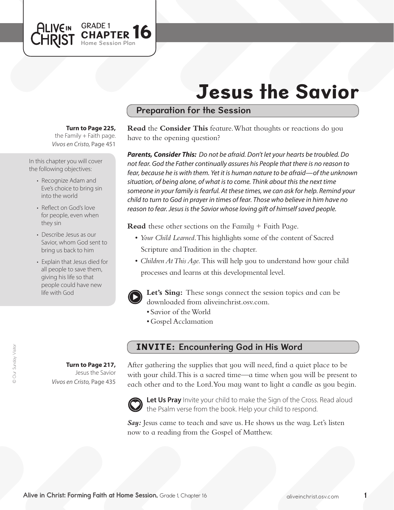# Jesus the Savior

## Preparation for the Session

**Turn to Page 225,** 

Home Session Plan

**APTER 16** 

the Family  $+$  Faith page. *Vivos en Cristo,* Page 451

ALIVEIN GRADE 1

CHRIST

In this chapter you will cover the following objectives:

- Recognize Adam and Eve's choice to bring sin into the world
- Reflect on God's love for people, even when they sin
- Describe Jesus as our Savior, whom God sent to bring us back to him
- Explain that Jesus died for all people to save them, giving his life so that people could have new life with God

**Turn to Page 217,** Jesus the Savior *Vivos en Cristo,* Page 435

**Read** the **Consider This** feature. What thoughts or reactions do you have to the opening question?

*Parents, Consider This: Do not be afraid. Don't let your hearts be troubled. Do not fear. God the Father continually assures his People that there is no reason to fear, because he is with them. Yet it is human nature to be afraid—of the unknown situation, of being alone, of what is to come. Think about this the next time someone in your family is fearful. At these times, we can ask for help. Remind your child to turn to God in prayer in times of fear. Those who believe in him have no reason to fear. Jesus is the Savior whose loving gift of himself saved people.*

**Read** these other sections on the Family + Faith Page.

- *Your Child Learned*. This highlights some of the content of Sacred Scripture and Tradition in the chapter.
- *Children At This Age*. This will help you to understand how your child processes and learns at this developmental level.



**Let's Sing:** These songs connect the session topics and can be downloaded from aliveinchrist.osv.com.

- • Savior of theWorld
- • Gospel Acclamation

#### INVITE: Encountering God in His Word

After gathering the supplies that you will need, find a quiet place to be with your child. This is a sacred time—a time when you will be present to each other and to the Lord. You may want to light a candle as you begin.



Let Us Pray Invite your child to make the Sign of the Cross. Read aloud the Psalm verse from the book. Help your child to respond.

Say: Jesus came to teach and save us. He shows us the way. Let's listen now to a reading from the Gospel of Matthew.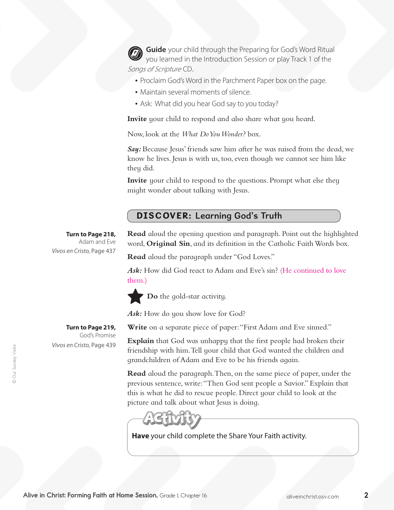**Guide** your child through the Preparing for God's Word Ritual you learned in the Introduction Session or play Track 1 of the Songs of Scripture CD.

- Proclaim God's Word in the Parchment Paper box on the page.
- Maintain several moments of silence.
- Ask: What did you hear God say to you today?

**Invite** your child to respond and also share what you heard.

Now, look at the *What Do You Wonder?* box.

*Say:* Because Jesus' friends saw him after he was raised from the dead, we know he lives. Jesus is with us, too, even though we cannot see him like they did.

**Invite** your child to respond to the questions. Prompt what else they might wonder about talking with Jesus.

## DISCOVER: Learning God's Truth

**Turn to Page 218,** Adam and Eve *Vivos en Cristo,* Page 437

God's Promise

**Read** aloud the opening question and paragraph. Point out the highlighted word, **Original Sin**, and its definition in the Catholic Faith Words box.

**Read** aloud the paragraph under "God Loves."

Ask: How did God react to Adam and Eve's sin? (He continued to love them.)



**Do** the gold-star activity.

Ask: How do you show love for God?

**Write** on a separate piece of paper: "First Adam and Eve sinned."

**Explain** that God was unhappy that the first people had broken their friendship with him.Tell your child that God wanted the children and grandchildren of Adam and Eve to be his friends again.

**Read** aloud the paragraph.Then, on the same piece of paper, under the previous sentence, write:"Then God sent people a Savior." Explain that this is what he did to rescue people. Direct your child to look at the picture and talk about what Jesus is doing.



**Have** your child complete the Share Your Faith activity.

**Turn to Page 219,**  *Vivos en Cristo,* Page 439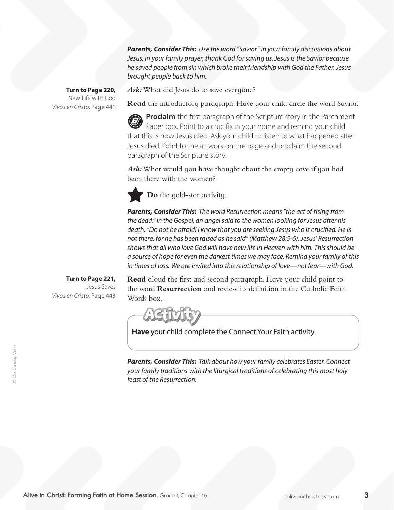*Parents, Consider This: Use the word "Savior" in your family discussions about Jesus. In your family prayer, thank God for saving us. Jesus is the Savior because he saved people from sin which broke their friendship with God the Father. Jesus brought people back to him.* 

**Turn to Page 220,** New Life with God *Vivos en Cristo,* Page 441

Ask: What did Jesus do to save everyone?

**Read** the introductory paragraph. Have your child circle the word Savior.

**Proclaim** the first paragraph of the Scripture story in the Parchment Paper box. Point to a crucifix in your home and remind your child that this is how Jesus died. Ask your child to listen to what happened after Jesus died. Point to the artwork on the page and proclaim the second paragraph of the Scripture story.

Ask: What would you have thought about the empty cave if you had been there with the women?

**Do** the gold-star activity.

*Parents, Consider This: The word Resurrection means "the act of rising from the dead." In the Gospel, an angel said to the women looking for Jesus after his death, "Do not be afraid! I know that you are seeking Jesus who is crucified. He is not there, for he has been raised as he said" (Matthew 28:5-6). Jesus' Resurrection shows that all who love God will have new life in Heaven with him. This should be a source of hope for even the darkest times we may face. Remind your family of this in times of loss. We are invited into this relationship of love—not fear—with God.*

**Turn to Page 221,** Jesus Saves *Vivos en Cristo,* Page 443 **Read** aloud the first and second paragraph. Have your child point to the word **Resurrection** and review its definition in the Catholic Faith Words box.

**Have** your child complete the Connect Your Faith activity.

*Parents, Consider This: Talk about how your family celebrates Easter. Connect your family traditions with the liturgical traditions of celebrating this most holy feast of the Resurrection.*